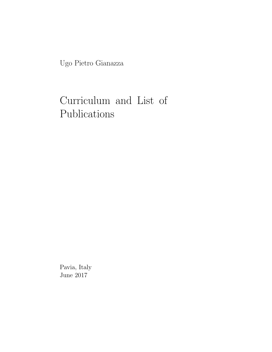Ugo Pietro Gianazza

# Curriculum and List of Publications

Pavia, Italy June 2017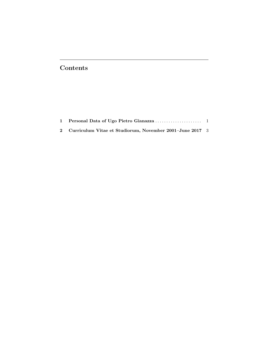# Contents

| 2 Curriculum Vitae et Studiorum, November 2001–June 2017 3 |  |
|------------------------------------------------------------|--|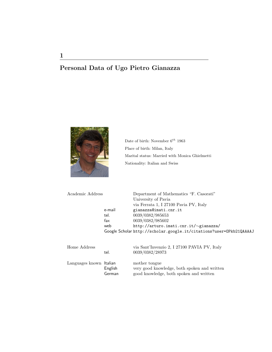# Personal Data of Ugo Pietro Gianazza



Date of birth: November  $6^{th}$ 1963 Place of birth: Milan, Italy Marital status: Married with Monica Ghielmetti Nationality: Italian and Swiss

| Academic Address       |        | Department of Mathematics "F. Casorati"                             |
|------------------------|--------|---------------------------------------------------------------------|
|                        |        | University of Pavia                                                 |
|                        |        | via Ferrata 1, I 27100 Pavia PV, Italy                              |
|                        | e-mail | gianazza@imati.cnr.it                                               |
|                        | tel.   | 0039/0382/985653                                                    |
|                        | fax    | 0039/0382/985602                                                    |
|                        | web    | http://arturo.imati.cnr.it/~gianazza/                               |
|                        |        | Google Scholar http://scholar.google.it/citations?user=OPkb21QAAAAJ |
|                        |        |                                                                     |
| Home Address           |        | via Sant'Invenzio 2, I 27100 PAVIA PV, Italy                        |
|                        | tel.   | 0039/0382/28973                                                     |
| Longuagos knorm Holian |        | $\frac{1}{2}$                                                       |

Languages known Italian mother tongue English very good knowledge, both spoken and written German good knowledge, both spoken and written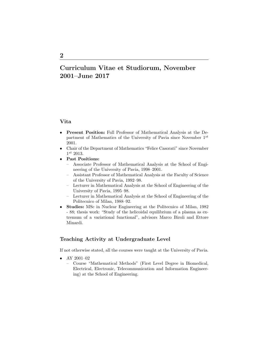# Curriculum Vitae et Studiorum, November 2001–June 2017

#### Vita

- Present Position: Full Professor of Mathematical Analysis at the Department of Mathematics of the University of Pavia since November  $1^{st}$ 2001.
- Chair of the Department of Mathematics "Felice Casorati" since November  $1^{st}$  2013.
- Past Positions:
	- Associate Professor of Mathematical Analysis at the School of Engineering of the University of Pavia, 1998–2001.
	- Assistant Professor of Mathematical Analysis at the Faculty of Science of the University of Pavia, 1992–98.
	- Lecturer in Mathematical Analysis at the School of Engineering of the University of Pavia, 1995–98.
	- Lecturer in Mathematical Analysis at the School of Engineering of the Politecnico of Milan, 1988–92.
- Studies: MSc in Nuclear Engineering at the Politecnico of Milan, 1982 - 88; thesis work: "Study of the helicoidal equilibrium of a plasma as extremum of a variational functional", advisors Marco Biroli and Ettore Minardi.

## Teaching Activity at Undergraduate Level

If not otherwise stated, all the courses were taught at the University of Pavia.

- AY 2001-02
	- Course "Mathematical Methods" (First Level Degree in Biomedical, Electrical, Electronic, Telecommunication and Information Engineering) at the School of Engineering.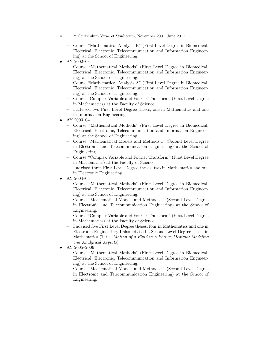- 4 2 Curriculum Vitae et Studiorum, November 2001–June 2017
	- Course "Mathematical Analysis B" (First Level Degree in Biomedical, Electrical, Electronic, Telecommunication and Information Engineering) at the School of Engineering.
- AY 2002–03
	- Course "Mathematical Methods" (First Level Degree in Biomedical, Electrical, Electronic, Telecommunication and Information Engineering) at the School of Engineering.
	- Course "Mathematical Analysis A" (First Level Degree in Biomedical, Electrical, Electronic, Telecommunication and Information Engineering) at the School of Engineering.
	- Course "Complex Variable and Fourier Transform" (First Level Degree in Mathematics) at the Faculty of Science.
	- I advised two First Level Degree theses, one in Mathematics and one in Information Engineering.
- AY 2003-04
	- Course "Mathematical Methods" (First Level Degree in Biomedical, Electrical, Electronic, Telecommunication and Information Engineering) at the School of Engineering.
	- Course "Mathematical Models and Methods I" (Second Level Degree in Electronic and Telecommunication Engineering) at the School of Engineering.
	- Course "Complex Variable and Fourier Transform" (First Level Degree in Mathematics) at the Faculty of Science.
	- I advised three First Level Degree theses, two in Mathematics and one in Electronic Engineering.
- AY 2004–05
	- Course "Mathematical Methods" (First Level Degree in Biomedical, Electrical, Electronic, Telecommunication and Information Engineering) at the School of Engineering.
	- Course "Mathematical Models and Methods I" (Second Level Degree in Electronic and Telecommunication Engineering) at the School of Engineering.
	- Course "Complex Variable and Fourier Transform" (First Level Degree in Mathematics) at the Faculty of Science.
	- I advised five First Level Degree theses, four in Mathematics and one in Electronic Engineering. I also advised a Second Level Degree thesis in Mathematics (Title: Motion of a Fluid in a Porous Medium: Modeling and Analytical Aspects).
- AY 2005–2006
	- Course "Mathematical Methods" (First Level Degree in Biomedical, Electrical, Electronic, Telecommunication and Information Engineering) at the School of Engineering.
	- Course "Mathematical Models and Methods I" (Second Level Degree in Electronic and Telecommunication Engineering) at the School of Engineering.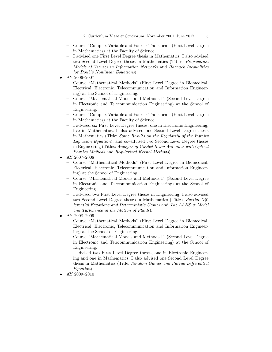- Course "Complex Variable and Fourier Transform" (First Level Degree in Mathematics) at the Faculty of Science.
- I advised one First Level Degree thesis in Mathematics. I also advised two Second Level Degree theses in Mathematics (Titles: Propagation Models of Viruses in Information Networks and Harnack Inequalities for Doubly Nonlinear Equations).
- AY 2006–2007
	- Course "Mathematical Methods" (First Level Degree in Biomedical, Electrical, Electronic, Telecommunication and Information Engineering) at the School of Engineering.
	- Course "Mathematical Models and Methods I" (Second Level Degree in Electronic and Telecommunication Engineering) at the School of Engineering.
	- Course "Complex Variable and Fourier Transform" (First Level Degree in Mathematics) at the Faculty of Science.
	- I advised six First Level Degree theses, one in Electronic Engineering, five in Mathematics. I also advised one Second Level Degree thesis in Mathematics (Title: Some Results on the Regularity of the Infinity Laplacian Equation), and co–advised two Second Level Degree theses in Engineering (Titles: Analysis of Guided Beam Antennas with Optical Physics Methods and Regularized Kernel Methods).
- AY 2007-2008
	- Course "Mathematical Methods" (First Level Degree in Biomedical, Electrical, Electronic, Telecommunication and Information Engineering) at the School of Engineering.
	- Course "Mathematical Models and Methods I" (Second Level Degree in Electronic and Telecommunication Engineering) at the School of Engineering.
	- I advised two First Level Degree theses in Engineering. I also advised two Second Level Degree theses in Mathematics (Titles: Partial Differential Equations and Deterministic Games and The LANS– $\alpha$  Model and Turbulence in the Motion of Fluids).
- AY 2008–2009
	- Course "Mathematical Methods" (First Level Degree in Biomedical, Electrical, Electronic, Telecommunication and Information Engineering) at the School of Engineering.
	- Course "Mathematical Models and Methods I" (Second Level Degree in Electronic and Telecommunication Engineering) at the School of Engineering.
	- I advised two First Level Degree theses, one in Electronic Engineering and one in Mathematics. I also advised one Second Level Degree thesis in Mathematics (Title: Random Games and Partial Differential Equation).
- AY 2009–2010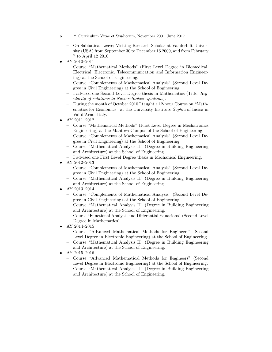- 6 2 Curriculum Vitae et Studiorum, November 2001–June 2017
	- On Sabbatical Leave; Visiting Research Scholar at Vanderbilt University (USA) from September 30 to December 16 2009, and from February 7 to April 12 2010.
- AY 2010–2011
	- Course "Mathematical Methods" (First Level Degree in Biomedical, Electrical, Electronic, Telecommunication and Information Engineering) at the School of Engineering.
	- Course "Complements of Mathematical Analysis" (Second Level Degree in Civil Engineering) at the School of Engineering.
	- I advised one Second Level Degree thesis in Mathematics (Title: Regularity of solutions to Navier–Stokes equations).
	- During the month of October 2010 I taught a 12-hour Course on "Mathematics for Economics" at the University Institute Sophia of Incisa in Val d'Arno, Italy.
- AY 2011–2012
	- Course "Mathematical Methods" (First Level Degree in Mechatronics Engineering) at the Mantova Campus of the School of Engineering.
	- Course "Complements of Mathematical Analysis" (Second Level Degree in Civil Engineering) at the School of Engineering.
	- Course "Mathematical Analysis II" (Degree in Building Engineering and Architecture) at the School of Engineering.
	- I advised one First Level Degree thesis in Mechanical Engineering.
- AY 2012–2013
	- Course "Complements of Mathematical Analysis" (Second Level Degree in Civil Engineering) at the School of Engineering.
	- Course "Mathematical Analysis II" (Degree in Building Engineering and Architecture) at the School of Engineering.
- AY 2013–2014
	- Course "Complements of Mathematical Analysis" (Second Level Degree in Civil Engineering) at the School of Engineering.
	- Course "Mathematical Analysis II" (Degree in Building Engineering and Architecture) at the School of Engineering.
	- Course "Functional Analysis and Differential Equations" (Second Level Degree in Mathematics).
- AY 2014–2015
	- Course "Advanced Mathematical Methods for Engineers" (Second Level Degree in Electronic Engineering) at the School of Engineering.
	- Course "Mathematical Analysis II" (Degree in Building Engineering and Architecture) at the School of Engineering.
- AY 2015-2016
	- Course "Advanced Mathematical Methods for Engineers" (Second Level Degree in Electronic Engineering) at the School of Engineering.
	- Course "Mathematical Analysis II" (Degree in Building Engineering and Architecture) at the School of Engineering.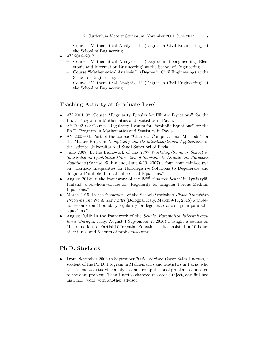- Course "Mathematical Analysis II" (Degree in Civil Engineering) at the School of Engineering.
- AY 2016–2017
	- Course "Mathematical Analysis II" (Degree in Bioengineering, Electronic and Information Engineering) at the School of Engineering.
	- Course "Mathematical Analysis I" (Degree in Civil Engineering) at the School of Engineering.
	- Course "Mathematical Analysis II" (Degree in Civil Engineering) at the School of Engineering.

### Teaching Activity at Graduate Level

- AY 2001–02: Course "Regularity Results for Elliptic Equations" for the Ph.D. Program in Mathematics and Statistics in Pavia.
- AY 2002–03: Course "Regularity Results for Parabolic Equations" for the Ph.D. Program in Mathematics and Statistics in Pavia.
- AY 2003–04: Part of the course "Classical Computational Methods" for the Master Program Complexity and its interdisciplinary Applications of the Istituto Universitario di Studi Superiori of Pavia.
- June 2007: In the framework of the 2007 Workshop/Summer School in Saariselkä on Qualitative Properties of Solutions to Elliptic and Parabolic  $Equations$  (Saariselkä, Finland, June 6-10, 2007) a four-hour-mini-course on "Harnack Inequalities for Non-negative Solutions to Degenerate and Singular Parabolic Partial Differential Equations."
- August 2012: In the framework of the  $22^{nd}$  Summer School in Jyväskylä, Finland, a ten–hour–course on "Regularity for Singular Porous Medium Equations."
- March 2015: In the framework of the School/Workshop *Phase Transition* Problems and Nonlinear PDEs (Bologna, Italy, March 9-11, 2015) a three– hour–course on "Boundary regularity for degenerate and singular parabolic equations."
- August 2016: In the framework of the Scuola Matematica Interuniversitaria (Perugia, Italy, August 1-September 2, 2016) I taught a course on "Introduction to Partial Differential Equations." It consisted in 10 hours of lectures, and 6 hours of problem-solving.

#### Ph.D. Students

• From November 2003 to September 2005 I advised Oscar Salas Huertas, a student of the Ph.D. Program in Mathematics and Statistics in Pavia, who at the time was studying analytical and computational problems connected to the dam problem. Then Huertas changed research subject, and finished his Ph.D. work with another advisor.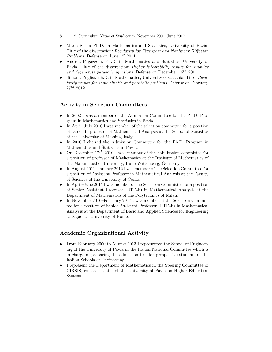- 8 2 Curriculum Vitae et Studiorum, November 2001–June 2017
- Maria Sosio: Ph.D. in Mathematics and Statistics, University of Pavia. Title of the dissertation: Regularity for Transport and Nonlinear Diffusion *Problems.* Defense on June  $1^{st}$  2011
- Andrea Fugazzola: Ph.D. in Mathematics and Statistics, University of Pavia. Title of the dissertation: Higher integrability results for singular and degenerate parabolic equations. Defense on December  $16^{th}$  2011.
- Simona Puglisi: Ph.D. in Mathematics, University of Catania. Title: Reqularity results for some elliptic and parabolic problems. Defense on February  $27^{th}$  2012.

# Activity in Selection Committees

- In 2002 I was a member of the Admission Committee for the Ph.D. Program in Mathematics and Statistics in Pavia.
- In April–July 2010 I was member of the selection committee for a position of associate professor of Mathematical Analysis at the School of Statistics of the University of Messina, Italy.
- In 2010 I chaired the Admission Committee for the Ph.D. Program in Mathematics and Statistics in Pavia.
- On December  $17^{th}$  2010 I was member of the habilitation committee for a position of professor of Mathematics at the Institute of Mathematics of the Martin Luther University, Halle-Wittenberg, Germany.
- In August 2011–January 2012 I was member of the Selection Committee for a position of Assistant Professor in Mathematical Analysis at the Faculty of Sciences of the University of Como.
- In April–June 2015 I was member of the Selection Committee for a position of Senior Assistant Professor (RTD-b) in Mathematical Analysis at the Department of Mathematics of the Polytechnics of Milan.
- In November 2016–February 2017 I was member of the Selection Committee for a position of Senior Assistant Professor (RTD-b) in Mathematical Analysis at the Department of Basic and Applied Sciences for Engineering at Sapienza University of Rome.

## Academic Organizational Activity

- From February 2000 to August 2013 I represented the School of Engineering of the University of Pavia in the Italian National Committee which is in charge of preparing the admission test for prospective students of the Italian Schools of Engineering.
- I represent the Department of Mathematics in the Steering Committee of CIRSIS, research center of the University of Pavia on Higher Education Systems.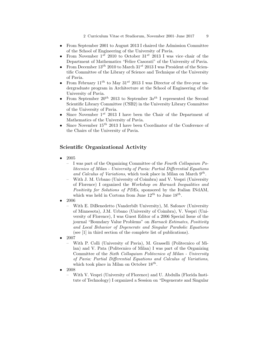- From September 2001 to August 2013 I chaired the Admission Committee of the School of Engineering of the University of Pavia.
- From November  $1^{st}$  2010 to October  $31^{st}$  2013 I was vice-chair of the Department of Mathematics "Felice Casorati" of the University of Pavia.
- From December  $13^{th}$  2010 to March  $31^{st}$  2013 I was President of the Scientific Committee of the Library of Science and Technique of the University of Pavia.
- From February  $11^{th}$  to May  $31^{st}$  2013 I was Director of the five-year undergraduate program in Architecture at the School of Engineering of the University of Pavia.
- From September  $20^{th}$  2013 to September  $30^{th}$  I represented the Second Scientific Library Committee (CSB2) in the University Library Committee of the University of Pavia.
- Since November  $1^{st}$  2013 I have been the Chair of the Department of Mathematics of the University of Pavia.
- Since November  $15^{th}$  2013 I have been Coordinator of the Conference of the Chairs of the University of Pavia.

#### Scientific Organizational Activity

- 2005
	- I was part of the Organizing Committee of the Fourth Colloquium Politecnico of Milan - University of Pavia: Partial Differential Equations and Calculus of Variations, which took place in Milan on March  $9^{th}$ .
	- With J. M. Urbano (University of Coimbra) and V. Vespri (University of Florence) I organized the Workshop on Harnack Inequalities and Positivity for Solutions of PDEs, sponsored by the Italian INdAM, which was held in Cortona from June  $12^{th}$  to June  $18^{th}$ .
- 2006
	- With E. DiBenedetto (Vanderbilt University), M. Safonov (University of Minnesota), J.M. Urbano (University of Coimbra), V. Vespri (University of Florence), I was Guest Editor of a 2006 Special Issue of the journal "Boundary Value Problems" on Harnack Estimates, Positivity and Local Behavior of Degenerate and Singular Parabolic Equations (see [1] in third section of the complete list of publications).
- 2007
	- With P. Colli (University of Pavia), M. Grasselli (Politecnico of Milan) and V. Pata (Politecnico of Milan) I was part of the Organizing Committee of the Sixth Colloquium Politecnico of Milan - University of Pavia: Partial Differential Equations and Calculus of Variations, which took place in Milan on October  $18^{th}$ .
- 2008
	- With V. Vespri (University of Florence) and U. Abdulla (Florida Institute of Technology) I organized a Session on "Degenerate and Singular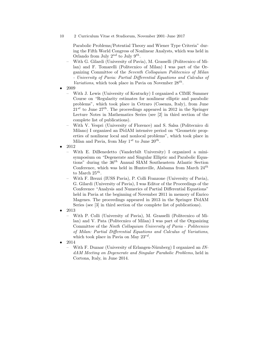10 2 Curriculum Vitae et Studiorum, November 2001–June 2017

Parabolic Problems/Potential Theory and Wiener Type Criteria" during the Fifth World Congress of Nonlinear Analysts, which was held in Orlando from July  $2^{nd}$  to July  $9^{th}$ .

- With G. Gilardi (University of Pavia), M. Grasselli (Politecnico of Milan) and F. Tomarelli (Politecnico of Milan) I was part of the Organizing Committee of the Seventh Colloquium Politecnico of Milan - University of Pavia: Partial Differential Equations and Calculus of Variations, which took place in Pavia on November  $28^{th}$ .
- 2009
	- With J. Lewis (University of Kentucky) I organized a CIME Summer Course on "Regularity estimates for nonlinear elliptic and parabolic problems", which took place in Cetraro (Cosenza, Italy), from June  $21^{st}$  to June  $27^{th}$ . The proceedings appeared in 2012 in the Springer Lecture Notes in Mathematics Series (see [2] in third section of the complete list of publications).
	- With V. Vespri (University of Florence) and S. Salsa (Politecnico di Milano) I organized an INdAM intensive period on "Geometric properties of nonlinear local and nonlocal problems", which took place in Milan and Pavia, from May  $1^{st}$  to June  $20^{th}$ .
- 2012
	- With E. DiBenedetto (Vanderbilt University) I organized a minisymposium on "Degenerate and Singular Elliptic and Parabolic Equations" during the  $36<sup>th</sup>$  Annual SIAM Southeastern Atlantic Section Conference, which was held in Huntsville, Alabama from March  $24^{th}$ to March  $25^{th}$ .
	- With F. Brezzi (IUSS Pavia), P. Colli Franzone (University of Pavia), G. Gilardi (University of Pavia), I was Editor of the Proceedings of the Conference "Analysis and Numerics of Partial Differential Equations" held in Pavia at the beginning of November 2011 in memory of Enrico Magenes. The proceedings appeared in 2013 in the Springer INdAM Series (see [3] in third section of the complete list of publications).
- 2013

– With P. Colli (University of Pavia), M. Grasselli (Politecnico of Milan) and V. Pata (Politecnico of Milan) I was part of the Organizing Committee of the Ninth Colloquium University of Pavia - Politecnico of Milan: Partial Differential Equations and Calculus of Variations, which took place in Pavia on May  $23^{rd}$ .

- 2014
	- With F. Duzaar (University of Erlangen-Nürnberg) I organized an INdAM Meeting on Degenerate and Singular Parabolic Problems, held in Cortona, Italy, in June 2014.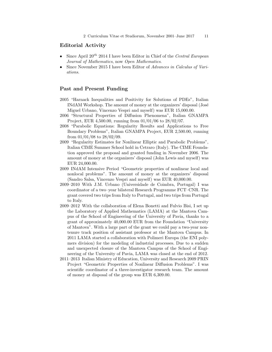#### Editorial Activity

- Since April  $20^{th}$  2014 I have been Editor in Chief of the Central European Journal of Mathematics, now Open Mathematics.
- Since November 2015 I have been Editor of Advances in Calculus of Variations.

### Past and Present Funding

- 2005 "Harnack Inequalities and Positivity for Solutions of PDEs", Italian INdAM Workshop. The amount of money at the organizers' disposal (José Miguel Urbano, Vincenzo Vespri and myself) was EUR 15,000.00.
- 2006 "Structural Properties of Diffusion Phenomena", Italian GNAMPA Project, EUR 4,500.00, running from 01/01/06 to 28/02/07.
- 2008 "Parabolic Equations: Regularity Results and Applications to Free Boundary Problems", Italian GNAMPA Project, EUR 2,500.00, running from 01/01/08 to 28/02/09.
- 2009 "Regularity Estimates for Nonlinear Elliptic and Parabolic Problems", Italian CIME Summer School hold in Cetraro (Italy). The CIME Foundation approved the proposal and granted funding in November 2006. The amount of money at the organizers' disposal (John Lewis and myself) was EUR 24,000.00.
- 2009 INdAM Intensive Period "Geometric properties of nonlinear local and nonlocal problems". The amount of money at the organizers' disposal (Sandro Salsa, Vincenzo Vespri and myself) was EUR 40,000.00.
- 2009–2010 With J.M. Urbano (Universidade de Coimbra, Portugal) I was coordinator of a two–year bilateral Research Programme FCT–CNR. The grant covered two trips from Italy to Portugal, and two trips from Portugal to Italy.
- 2009–2012 With the collaboration of Elena Bonetti and Fulvio Bisi, I set up the Laboratory of Applied Mathematics (LAMA) at the Mantova Campus of the School of Engineering of the University of Pavia, thanks to a grant of approximately 40,000.00 EUR from the Foundation "University of Mantova". With a large part of the grant we could pay a two-year nontenure track position of assistant professor at the Mantova Campus. In 2011 LAMA started a collaboration with Polimeri Europa (the ENI polymers division) for the modeling of industrial processes. Due to a sudden and unexpected closure of the Mantova Campus of the School of Engineering of the University of Pavia, LAMA was closed at the end of 2012.
- 2011–2013 Italian Ministry of Education, University and Research 2009 PRIN Project "Geometric Properties of Nonlinear Diffusion Problems". I was scientific coordinator of a three-investigator research team. The amount of money at disposal of the group was EUR 6,309.00.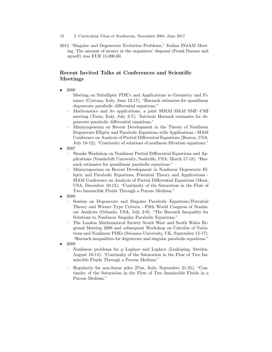- 12 2 Curriculum Vitae et Studiorum, November 2001–June 2017
- 2014 "Singular and Degenerate Evolution Problems," Italian INdAM Meeting. The amount of money at the organizers' disposal (Frank Duzaar and myself) was EUR 15,000.00.

# Recent Invited Talks at Conferences and Scientific Meetings

- 2006
	- Meeting on Subelliptic PDE's and Applications to Geometry and Finance (Cortona, Italy, June 12-17); "Harnack estimates for quasilinear degenerate parabolic differential equations."
	- Mathematics and its applications, a joint SIMAI–SMAI–SMF–UMI meeting (Turin, Italy, July 3-7); "Intrinsic Harnack estimates for degenerate parabolic differential equations."
	- Minisymposium on Recent Development in the Theory of Nonlinear Degenerate Elliptic and Parabolic Equations with Applications - SIAM Conference on Analysis of Partial Differential Equations (Boston, USA, July 10-12); "Continuity of solutions of nonlinear filtration equations."
- 2007
	- Shanks Workshop on Nonlinear Partial Differential Equations and Applications (Vanderbilt University, Nashville, USA, March 17-18); "Harnack estimates for quasilinear parabolic equations."
	- Minisymposium on Recent Development in Nonlinear Degenerate Elliptic and Parabolic Equations, Potential Theory and Applications - SIAM Conference on Analysis of Partial Differential Equations (Mesa, USA, December 10-12); "Continuity of the Saturation in the Flow of Two Immiscible Fluids Through a Porous Medium."
- 2008
	- Session on Degenerate and Singular Parabolic Equations/Potential Theory and Wiener Type Criteria - Fifth World Congress of Nonlinear Analysts (Orlando, USA, July 2-9); "The Harnack Inequality for Solutions to Nonlinear Singular Parabolic Equations."
	- The London Mathematical Society South West and South Wales Regional Meeting 2008 and subsequent Workshop on Calculus of Variations and Nonlinear PDEs (Swansea University, UK, September 15-17); "Harnack inequalities for degenerate and singular parabolic equations."
- 2009
	- Nonlinear problems for  $p$ -Laplace and Laplace (Linköping, Sweden, August 10-14); "Continuity of the Saturation in the Flow of Two Immiscible Fluids Through a Porous Medium."
	- Regularity for non-linear pdes (Pisa, Italy, September 21-25); "Continuity of the Saturation in the Flow of Two Immiscible Fluids in a Porous Medium."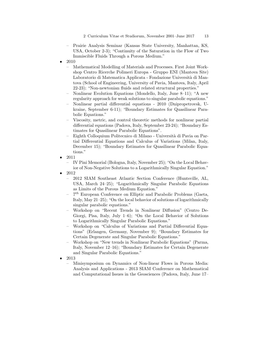- Prairie Analysis Seminar (Kansas State University, Manhattan, KS, USA, October 2-3); "Continuity of the Saturation in the Flow of Two Immiscible Fluids Through a Porous Medium."
- 2010
	- Mathematical Modelling of Materials and Processes. First Joint Workshop Centro Ricerche Polimeri Europa - Gruppo ENI (Mantova Site) Laboratorio di Matematica Applicata - Fondazione Università di Mantova (School of Engineering, University of Pavia, Mantova, Italy, April 22-23); "Non-newtonian fluids and related structural properties."
	- Nonlinear Evolution Equations (Mondello, Italy, June 8–11); "A new regularity approach for weak solutions to singular parabolic equations."
	- Nonlinear partial differential equations 2010 (Dnipropetrovsk, Ukraine, September 6-11); "Boundary Estimates for Quasilinear Parabolic Equations."
	- Viscosity, metric, and control theoretic methods for nonlinear partial differential equations (Padova, Italy, September 23-24); "Boundary Estimates for Quasilinear Parabolic Equations".
	- Eighth Colloquium Politecnico di Milano Universit`a di Pavia on Partial Differential Equations and Calculus of Variations (Milan, Italy, December 15); "Boundary Estimates for Quasilinear Parabolic Equations."
- 2011

– IV Pini Memorial (Bologna, Italy, November 25); "On the Local Behavior of Non-Negative Solutions to a Logarithmically Singular Equation."

- 2012
	- 2012 SIAM Southeast Atlantic Section Conference (Huntsville, AL, USA, March 24–25); "Logarithmically Singular Parabolic Equations as Limits of the Porous Medium Equation."
	- $-7$ <sup>th</sup> European Conference on Elliptic and Parabolic Problems (Gaeta, Italy, May 21–25); "On the local behavior of solutions of logarithmically singular parabolic equations."
	- Workshop on "Recent Trends in Nonlinear Diffusion" (Centro De-Giorgi, Pisa, Italy, July 1–6); "On the Local Behavior of Solutions to Logarithmically Singular Parabolic Equations."
	- Workshop on "Calculus of Variations and Partial Differential Equations" (Erlangen, Germany, November 9); "Boundary Estimates for Certain Degenerate and Singular Parabolic Equations."
	- Workshop on "New trends in Nonlinear Parabolic Equations" (Parma, Italy, November 12–16); "Boundary Estimates for Certain Degenerate and Singular Parabolic Equations."
- 2013
	- Minisymposium on Dynamics of Non-linear Flows in Porous Media: Analysis and Applications - 2013 SIAM Conference on Mathematical and Computational Issues in the Geosciences (Padova, Italy, June 17–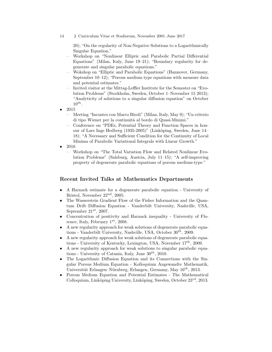14 2 Curriculum Vitae et Studiorum, November 2001–June 2017

20); "On the regularity of Non-Negative Solutions to a Logarithmically Singular Equation."

- Workshop on "Nonlinear Elliptic and Parabolic Partial Differential Equations" (Milan, Italy, June 19–21); "Boundary regularity for degenerate and singular parabolic equations."
- Wokshop on "Elliptic and Parabolic Equations" (Hannover, Germany, September 10–12); "Porous medium type equations with measure data and potential estimates."
- Invited visitor at the Mittag-Leffler Institute for the Semester on "Evolution Problems" (Stockholm, Sweden, October 1–November 15 2013); "Analyticity of solutions to a singular diffusion equation" on October  $10^{th}$ .
- 2015
	- Meeting "Incontro con Marco Biroli" (Milan, Italy, May 9); "Un criterio di tipo Wiener per la continuità al bordo di Quasi-Minimi."
	- Conference on "PDEs, Potential Theory and Function Spaces in honour of Lars Inge Hedberg (1935-2005)" (Linköping, Sweden, June 14– 18); "A Necessary and Sufficient Condition for the Continuity of Local Minima of Parabolic Variational Integrals with Linear Growth."
- 2016
	- Workshop on "The Total Variation Flow and Related Nonlinear Evolution Problems" (Salzburg, Austria, July 11–15); "A self-improving property of degenerate parabolic equations of porous medium-type."

## Recent Invited Talks at Mathematics Departments

- A Harnack estimate for a degenerate parabolic equation University of Bristol, November  $22^{nd}$ , 2005.
- The Wasserstein Gradient Flow of the Fisher Information and the Quantum Drift–Diffusion Equation - Vanderbilt University, Nashville, USA, September  $21^{st}$ , 2007.
- Concentration of positivity and Harnack inequality University of Florence, Italy, February  $1^{st}$ , 2008.
- A new regularity approach for weak solutions of degenerate parabolic equations - Vanderbilt University, Nashville, USA, October  $30^{th}$ , 2009.
- A new regularity approach for weak solutions of degenerate parabolic equations - University of Kentucky, Lexington, USA, November  $17^{th}$ , 2009.
- A new regularity approach for weak solutions to singular parabolic equations - University of Catania, Italy, June  $30^{th}$ , 2010.
- The Logarithmic Diffusion Equation and its Connections with the Singular Porous Medium Equation - Kolloquium Angewandte Mathematik, Universität Erlangen–Nürnberg, Erlangen, Germany, May  $16^{th}$ , 2013.
- Porous Medium Equation and Potential Estimates The Mathematical Colloquium, Linköping University, Linköping, Sweden, October  $23^{rd}$ , 2013.